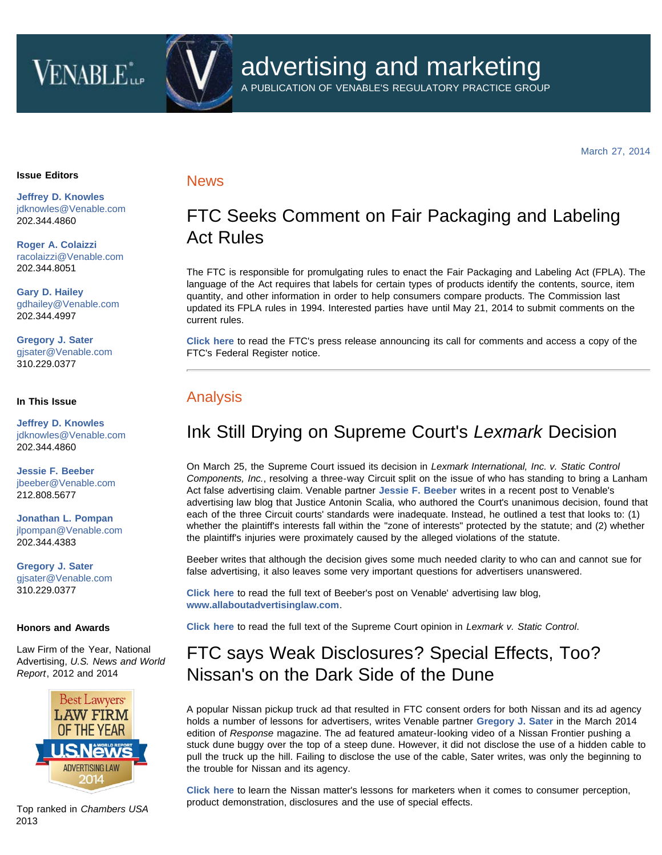# **VENABLE**



A PUBLICATION OF VENABLE'S REGULATORY PRACTICE GROUP

March 27, 2014

#### **Issue Editors**

**[Jeffrey D. Knowles](http://www.venable.com/Jeffrey-D-Knowles)** [jdknowles@Venable.com](mailto:jdknowles@Venable.com) 202.344.4860

**[Roger A. Colaizzi](http://www.venable.com/Roger-A-Colaizzi)** [racolaizzi@Venable.com](mailto:racolaizzi@Venable.com) 202.344.8051

**[Gary D. Hailey](http://www.venable.com/Gary-D-Hailey)** [gdhailey@Venable.com](mailto:gdhailey@Venable.com) 202.344.4997

**[Gregory J. Sater](http://www.venable.com/Gregory-J-Sater)** [gjsater@Venable.com](mailto:gjsater@Venable.com) 310.229.0377

### **In This Issue**

**[Jeffrey D. Knowles](http://www.venable.com/Jeffrey-D-Knowles)** [jdknowles@Venable.com](mailto:jdknowles@Venable.com) 202.344.4860

**[Jessie F. Beeber](http://www.venable.com/Jessie-F-Beeber)** [jbeeber@Venable.com](mailto:jbeeber@Venable.com) 212.808.5677

**[Jonathan L. Pompan](http://www.venable.com/jonathan-l-pompan)** [jlpompan@Venable.com](mailto:jlpompan@Venable.com) 202.344.4383

**[Gregory J. Sater](http://www.venable.com/Gregory-J-Sater)** [gjsater@Venable.com](mailto:gjsater@Venable.com) 310.229.0377

#### **Honors and Awards**

Law Firm of the Year, National Advertising, *U.S. News and World Report*, 2012 and 2014



Top ranked in *Chambers USA* 2013

## **News**

# FTC Seeks Comment on Fair Packaging and Labeling Act Rules

The FTC is responsible for promulgating rules to enact the Fair Packaging and Labeling Act (FPLA). The language of the Act requires that labels for certain types of products identify the contents, source, item quantity, and other information in order to help consumers compare products. The Commission last updated its FPLA rules in 1994. Interested parties have until May 21, 2014 to submit comments on the current rules.

**[Click here](http://www.ftc.gov/news-events/press-releases/2014/03/ftc-seeks-comment-fair-packaging-labeling-act-rules)** to read the FTC's press release announcing its call for comments and access a copy of the FTC's Federal Register notice.

## Analysis

# Ink Still Drying on Supreme Court's *Lexmark* Decision

On March 25, the Supreme Court issued its decision in *Lexmark International, Inc. v. Static Control Components, Inc.*, resolving a three-way Circuit split on the issue of who has standing to bring a Lanham Act false advertising claim. Venable partner **[Jessie F. Beeber](http://www.venable.com/jessie-f-beeber/)** writes in a recent post to Venable's advertising law blog that Justice Antonin Scalia, who authored the Court's unanimous decision, found that each of the three Circuit courts' standards were inadequate. Instead, he outlined a test that looks to: (1) whether the plaintiff's interests fall within the "zone of interests" protected by the statute; and (2) whether the plaintiff's injuries were proximately caused by the alleged violations of the statute.

Beeber writes that although the decision gives some much needed clarity to who can and cannot sue for false advertising, it also leaves some very important questions for advertisers unanswered.

**[Click here](http://www.allaboutadvertisinglaw.com/2014/03/supreme-court-issues-much-awaited-decision-in-lexmark-case.html)** to read the full text of Beeber's post on Venable' advertising law blog, **[www.allaboutadvertisinglaw.com](http://www.allaboutadvertisinglaw.com/)**.

**[Click here](http://www.supremecourt.gov/opinions/13pdf/12-873_n75o.pdf)** to read the full text of the Supreme Court opinion in *Lexmark v. Static Control*.

# FTC says Weak Disclosures? Special Effects, Too? Nissan's on the Dark Side of the Dune

A popular Nissan pickup truck ad that resulted in FTC consent orders for both Nissan and its ad agency holds a number of lessons for advertisers, writes Venable partner **[Gregory J. Sater](http://www.venable.com/gregory-j-sater/)** in the March 2014 edition of *Response* magazine. The ad featured amateur-looking video of a Nissan Frontier pushing a stuck dune buggy over the top of a steep dune. However, it did not disclose the use of a hidden cable to pull the truck up the hill. Failing to disclose the use of the cable, Sater writes, was only the beginning to the trouble for Nissan and its agency.

**[Click here](http://www.response-digital.com/response/201403#pg55)** to learn the Nissan matter's lessons for marketers when it comes to consumer perception, product demonstration, disclosures and the use of special effects.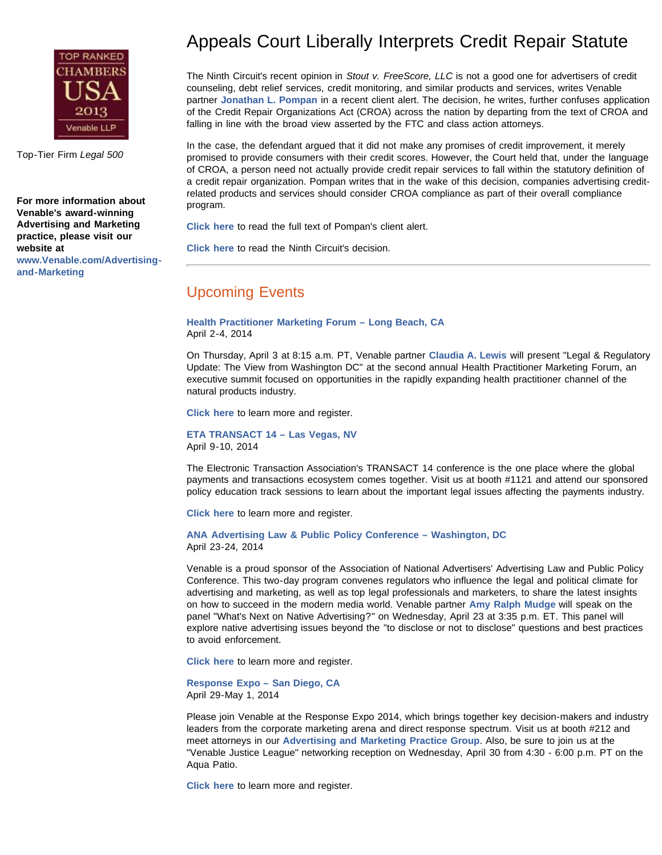

Top-Tier Firm *Legal 500*

**For more information about Venable's award-winning Advertising and Marketing practice, please visit our website at [www.Venable.com/Advertising](http://www.venable.com/Advertising-and-Marketing)[and-Marketing](http://www.venable.com/Advertising-and-Marketing)**

# Appeals Court Liberally Interprets Credit Repair Statute

The Ninth Circuit's recent opinion in *Stout v. FreeScore, LLC* is not a good one for advertisers of credit counseling, debt relief services, credit monitoring, and similar products and services, writes Venable partner **[Jonathan L. Pompan](http://www.venable.com/jonathan-l-pompan/)** in a recent client alert. The decision, he writes, further confuses application of the Credit Repair Organizations Act (CROA) across the nation by departing from the text of CROA and falling in line with the broad view asserted by the FTC and class action attorneys.

In the case, the defendant argued that it did not make any promises of credit improvement, it merely promised to provide consumers with their credit scores. However, the Court held that, under the language of CROA, a person need not actually provide credit repair services to fall within the statutory definition of a credit repair organization. Pompan writes that in the wake of this decision, companies advertising creditrelated products and services should consider CROA compliance as part of their overall compliance program.

**[Click here](http://www.venable.com/appeals-court-liberally-interprets-credit-repair-statute/)** to read the full text of Pompan's client alert.

**[Click here](http://cdn.ca9.uscourts.gov/datastore/opinions/2014/02/21/10-56887.pdf)** to read the Ninth Circuit's decision.

## Upcoming Events

**[Health Practitioner Marketing Forum – Long Beach, CA](http://hpmforum.com/)** April 2-4, 2014

On Thursday, April 3 at 8:15 a.m. PT, Venable partner **[Claudia A. Lewis](http://www.venable.com/claudia-a-lewis/)** will present "Legal & Regulatory Update: The View from Washington DC" at the second annual Health Practitioner Marketing Forum, an executive summit focused on opportunities in the rapidly expanding health practitioner channel of the natural products industry.

**[Click here](http://hpmforum.com/)** to learn more and register.

**[ETA TRANSACT 14 – Las Vegas, NV](http://www.electran.org/events/transact14/)** April 9-10, 2014

The Electronic Transaction Association's TRANSACT 14 conference is the one place where the global payments and transactions ecosystem comes together. Visit us at booth #1121 and attend our sponsored policy education track sessions to learn about the important legal issues affecting the payments industry.

**[Click here](http://www.electran.org/events/transact14/)** to learn more and register.

**[ANA Advertising Law & Public Policy Conference – Washington, DC](http://www.ana.net/conference/show/id/LAW-APR14)** April 23-24, 2014

Venable is a proud sponsor of the Association of National Advertisers' Advertising Law and Public Policy Conference. This two-day program convenes regulators who influence the legal and political climate for advertising and marketing, as well as top legal professionals and marketers, to share the latest insights on how to succeed in the modern media world. Venable partner **[Amy Ralph Mudge](http://www.venable.com/Amy-R-Mudge)** will speak on the panel "What's Next on Native Advertising?" on Wednesday, April 23 at 3:35 p.m. ET. This panel will explore native advertising issues beyond the "to disclose or not to disclose" questions and best practices to avoid enforcement.

**[Click here](http://www.ana.net/conference/show/id/LAW-APR14)** to learn more and register.

**[Response Expo – San Diego, CA](http://www.responsemagazine.com/response-expo/home-page)** April 29-May 1, 2014

Please join Venable at the Response Expo 2014, which brings together key decision-makers and industry leaders from the corporate marketing arena and direct response spectrum. Visit us at booth #212 and meet attorneys in our **[Advertising and Marketing Practice Group](http://www.venable.com/advertising-and-marketing)**. Also, be sure to join us at the "Venable Justice League" networking reception on Wednesday, April 30 from 4:30 - 6:00 p.m. PT on the Aqua Patio.

**[Click here](http://www.responsemagazine.com/response-expo/home-page)** to learn more and register.